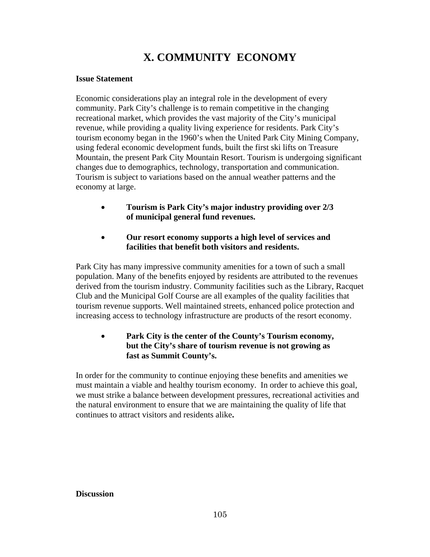## **X. COMMUNITY ECONOMY**

#### **Issue Statement**

Economic considerations play an integral role in the development of every community. Park City's challenge is to remain competitive in the changing recreational market, which provides the vast majority of the City's municipal revenue, while providing a quality living experience for residents. Park City's tourism economy began in the 1960's when the United Park City Mining Company, using federal economic development funds, built the first ski lifts on Treasure Mountain, the present Park City Mountain Resort. Tourism is undergoing significant changes due to demographics, technology, transportation and communication. Tourism is subject to variations based on the annual weather patterns and the economy at large.

- **Tourism is Park City's major industry providing over 2/3 of municipal general fund revenues.**
- **Our resort economy supports a high level of services and facilities that benefit both visitors and residents.**

Park City has many impressive community amenities for a town of such a small population. Many of the benefits enjoyed by residents are attributed to the revenues derived from the tourism industry. Community facilities such as the Library, Racquet Club and the Municipal Golf Course are all examples of the quality facilities that tourism revenue supports. Well maintained streets, enhanced police protection and increasing access to technology infrastructure are products of the resort economy.

## • **Park City is the center of the County's Tourism economy, but the City's share of tourism revenue is not growing as fast as Summit County's.**

In order for the community to continue enjoying these benefits and amenities we must maintain a viable and healthy tourism economy. In order to achieve this goal, we must strike a balance between development pressures, recreational activities and the natural environment to ensure that we are maintaining the quality of life that continues to attract visitors and residents alike**.** 

#### **Discussion**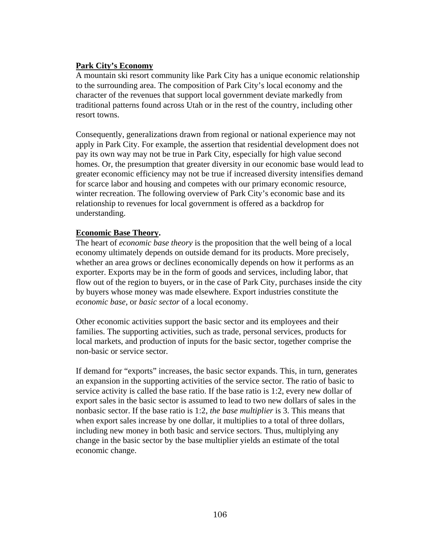## **Park City's Economy**

A mountain ski resort community like Park City has a unique economic relationship to the surrounding area. The composition of Park City's local economy and the character of the revenues that support local government deviate markedly from traditional patterns found across Utah or in the rest of the country, including other resort towns.

Consequently, generalizations drawn from regional or national experience may not apply in Park City. For example, the assertion that residential development does not pay its own way may not be true in Park City, especially for high value second homes. Or, the presumption that greater diversity in our economic base would lead to greater economic efficiency may not be true if increased diversity intensifies demand for scarce labor and housing and competes with our primary economic resource, winter recreation. The following overview of Park City's economic base and its relationship to revenues for local government is offered as a backdrop for understanding.

#### **Economic Base Theory.**

The heart of *economic base theory* is the proposition that the well being of a local economy ultimately depends on outside demand for its products. More precisely, whether an area grows or declines economically depends on how it performs as an exporter. Exports may be in the form of goods and services, including labor, that flow out of the region to buyers, or in the case of Park City, purchases inside the city by buyers whose money was made elsewhere. Export industries constitute the *economic base,* or *basic sector* of a local economy.

Other economic activities support the basic sector and its employees and their families. The supporting activities, such as trade, personal services, products for local markets, and production of inputs for the basic sector, together comprise the non-basic or service sector*.* 

If demand for "exports" increases, the basic sector expands. This, in turn, generates an expansion in the supporting activities of the service sector. The ratio of basic to service activity is called the base ratio. If the base ratio is 1:2, every new dollar of export sales in the basic sector is assumed to lead to two new dollars of sales in the nonbasic sector. If the base ratio is 1:2, *the base multiplier* is 3. This means that when export sales increase by one dollar, it multiplies to a total of three dollars, including new money in both basic and service sectors. Thus, multiplying any change in the basic sector by the base multiplier yields an estimate of the total economic change.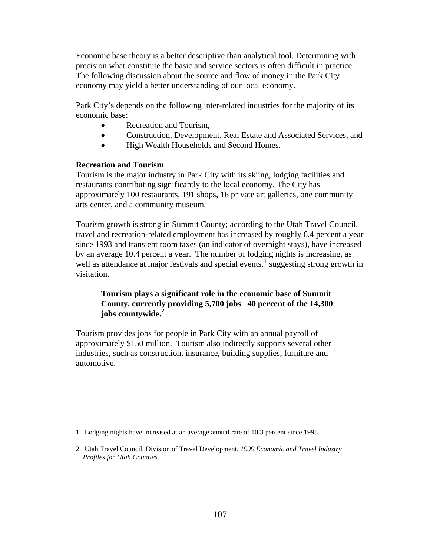Economic base theory is a better descriptive than analytical tool. Determining with precision what constitute the basic and service sectors is often difficult in practice. The following discussion about the source and flow of money in the Park City economy may yield a better understanding of our local economy.

Park City's depends on the following inter-related industries for the majority of its economic base:

- Recreation and Tourism,
- Construction, Development, Real Estate and Associated Services, and
- High Wealth Households and Second Homes.

## **Recreation and Tourism**

Tourism is the major industry in Park City with its skiing, lodging facilities and restaurants contributing significantly to the local economy. The City has approximately 100 restaurants, 191 shops, 16 private art galleries, one community arts center, and a community museum.

Tourism growth is strong in Summit County; according to the Utah Travel Council, travel and recreation-related employment has increased by roughly 6.4 percent a year since 1993 and transient room taxes (an indicator of overnight stays), have increased by an average 10.4 percent a year. The number of lodging nights is increasing, as well as attendance at major festivals and special events, $\frac{1}{1}$  $\frac{1}{1}$  $\frac{1}{1}$  suggesting strong growth in visitation.

## **Tourism plays a significant role in the economic base of Summit County, currently providing 5,700 jobs 40 percent of the 14,300 jobs countywide.[2](#page-2-1)**

Tourism provides jobs for people in Park City with an annual payroll of approximately \$150 million. Tourism also indirectly supports several other industries, such as construction, insurance, building supplies, furniture and automotive.

<span id="page-2-0"></span>l 1. Lodging nights have increased at an average annual rate of 10.3 percent since 1995.

<span id="page-2-1"></span><sup>2.</sup> Utah Travel Council, Division of Travel Development, *1999 Economic and Travel Industry Profiles for Utah Counties*.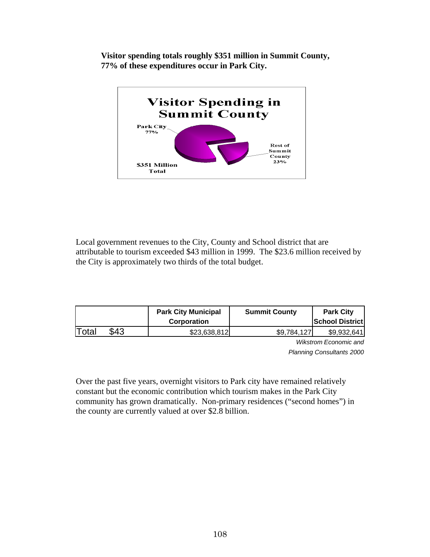**Visitor spending totals roughly \$351 million in Summit County, 77% of these expenditures occur in Park City.** 



Local government revenues to the City, County and School district that are attributable to tourism exceeded \$43 million in 1999. The \$23.6 million received by the City is approximately two thirds of the total budget.

|       |      | <b>Park City Municipal</b><br><b>Corporation</b> | <b>Summit County</b> | <b>Park City</b><br><b>School District</b> |
|-------|------|--------------------------------------------------|----------------------|--------------------------------------------|
| Total | \$43 | \$23,638,812                                     | \$9.784.127          | \$9,932,641                                |

 *Wikstrom Economic and Planning Consultants 2000* 

Over the past five years, overnight visitors to Park city have remained relatively constant but the economic contribution which tourism makes in the Park City community has grown dramatically. Non-primary residences ("second homes") in the county are currently valued at over \$2.8 billion.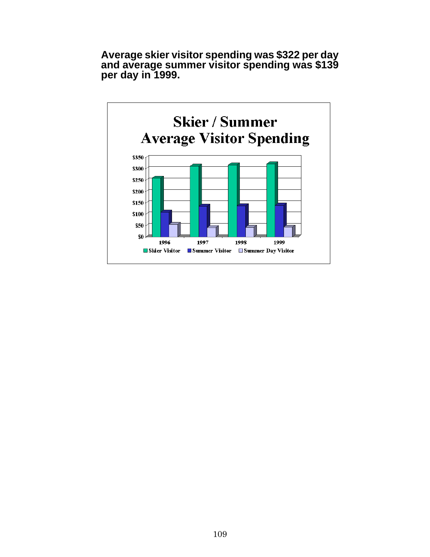**Average skier visitor spending was \$322 per day and average summer visitor spending was \$139 per day in 1999.**

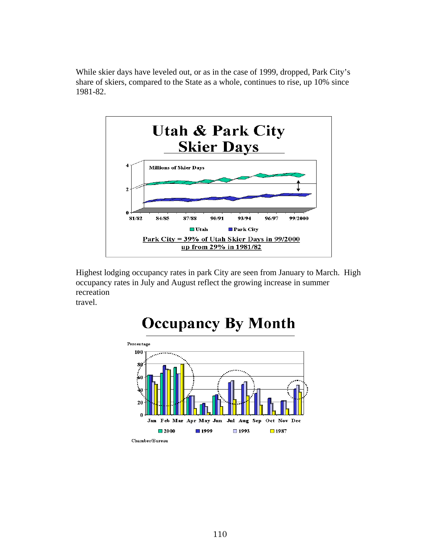While skier days have leveled out, or as in the case of 1999, dropped, Park City's share of skiers, compared to the State as a whole, continues to rise, up 10% since 1981-82.



Highest lodging occupancy rates in park City are seen from January to March. High occupancy rates in July and August reflect the growing increase in summer recreation travel.



# **Occupancy By Month**

Chamber/Bureau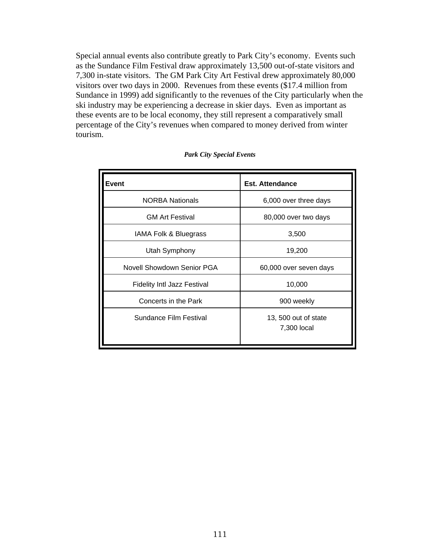Special annual events also contribute greatly to Park City's economy. Events such as the Sundance Film Festival draw approximately 13,500 out-of-state visitors and 7,300 in-state visitors. The GM Park City Art Festival drew approximately 80,000 visitors over two days in 2000. Revenues from these events (\$17.4 million from Sundance in 1999) add significantly to the revenues of the City particularly when the ski industry may be experiencing a decrease in skier days. Even as important as these events are to be local economy, they still represent a comparatively small percentage of the City's revenues when compared to money derived from winter tourism.

| Event                              | <b>Est. Attendance</b>              |
|------------------------------------|-------------------------------------|
| <b>NORBA Nationals</b>             | 6,000 over three days               |
| <b>GM Art Festival</b>             | 80,000 over two days                |
| IAMA Folk & Bluegrass              | 3,500                               |
| Utah Symphony                      | 19,200                              |
| Novell Showdown Senior PGA         | 60,000 over seven days              |
| <b>Fidelity Intl Jazz Festival</b> | 10,000                              |
| Concerts in the Park               | 900 weekly                          |
| <b>Sundance Film Festival</b>      | 13, 500 out of state<br>7,300 local |

#### *Park City Special Events*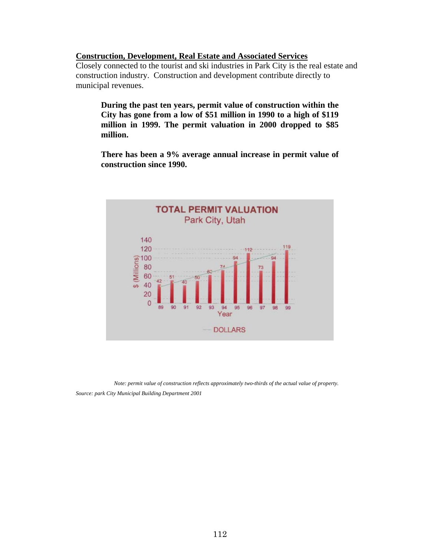#### **Construction, Development, Real Estate and Associated Services**

Closely connected to the tourist and ski industries in Park City is the real estate and construction industry. Construction and development contribute directly to municipal revenues.

**During the past ten years, permit value of construction within the City has gone from a low of \$51 million in 1990 to a high of \$119 million in 1999. The permit valuation in 2000 dropped to \$85 million.** 

**There has been a 9% average annual increase in permit value of construction since 1990.** 



*Note: permit value of construction reflects approximately two-thirds of the actual value of property. Source: park City Municipal Building Department 2001*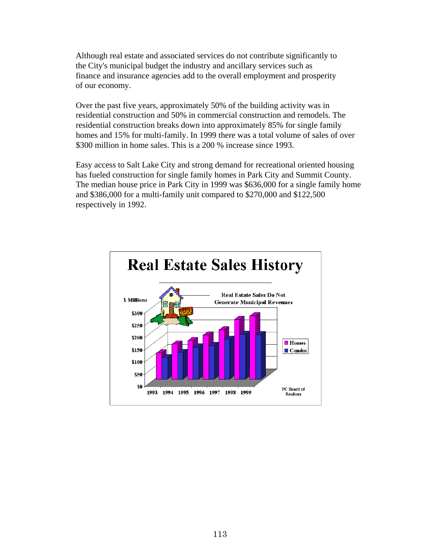Although real estate and associated services do not contribute significantly to the City's municipal budget the industry and ancillary services such as finance and insurance agencies add to the overall employment and prosperity of our economy.

Over the past five years, approximately 50% of the building activity was in residential construction and 50% in commercial construction and remodels. The residential construction breaks down into approximately 85% for single family homes and 15% for multi-family. In 1999 there was a total volume of sales of over \$300 million in home sales. This is a 200 % increase since 1993.

Easy access to Salt Lake City and strong demand for recreational oriented housing has fueled construction for single family homes in Park City and Summit County. The median house price in Park City in 1999 was \$636,000 for a single family home and \$386,000 for a multi-family unit compared to \$270,000 and \$122,500 respectively in 1992.

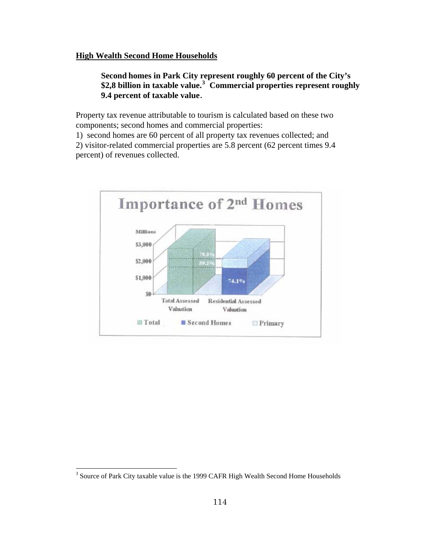#### **High Wealth Second Home Households**

**Second homes in Park City represent roughly 60 percent of the City's \$2,8 billion in taxable value.[3](#page-9-0) Commercial properties represent roughly 9.4 percent of taxable value**.

Property tax revenue attributable to tourism is calculated based on these two components; second homes and commercial properties:

1) second homes are 60 percent of all property tax revenues collected; and 2) visitor-related commercial properties are 5.8 percent (62 percent times 9.4 percent) of revenues collected.



 $\overline{\phantom{a}}$ 

<span id="page-9-0"></span><sup>&</sup>lt;sup>3</sup> Source of Park City taxable value is the 1999 CAFR High Wealth Second Home Households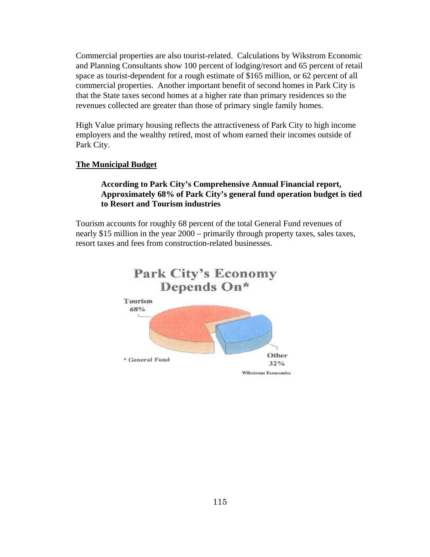Commercial properties are also tourist-related. Calculations by Wikstrom Economic and Planning Consultants show 100 percent of lodging/resort and 65 percent of retail space as tourist-dependent for a rough estimate of \$165 million, or 62 percent of all commercial properties. Another important benefit of second homes in Park City is that the State taxes second homes at a higher rate than primary residences so the revenues collected are greater than those of primary single family homes.

High Value primary housing reflects the attractiveness of Park City to high income employers and the wealthy retired, most of whom earned their incomes outside of Park City.

#### **The Municipal Budget**

## **According to Park City's Comprehensive Annual Financial report, Approximately 68% of Park City's general fund operation budget is tied to Resort and Tourism industries**

Tourism accounts for roughly 68 percent of the total General Fund revenues of nearly \$15 million in the year 2000 – primarily through property taxes, sales taxes, resort taxes and fees from construction-related businesses.

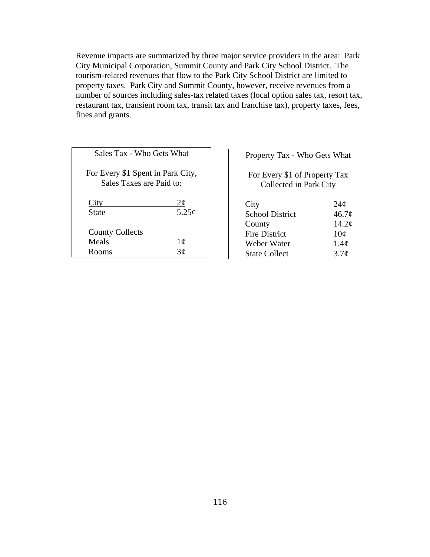Revenue impacts are summarized by three major service providers in the area: Park City Municipal Corporation, Summit County and Park City School District. The tourism-related revenues that flow to the Park City School District are limited to property taxes. Park City and Summit County, however, receive revenues from a number of sources including sales-tax related taxes (local option sales tax, resort tax, restaurant tax, transient room tax, transit tax and franchise tax), property taxes, fees, fines and grants.

| Sales Tax - Who Gets What                                     |                                  |  |  |  |
|---------------------------------------------------------------|----------------------------------|--|--|--|
| For Every \$1 Spent in Park City,<br>Sales Taxes are Paid to: |                                  |  |  |  |
| City<br>State                                                 | $2\phi$<br>5.25¢                 |  |  |  |
| <b>County Collects</b><br>Meals                               |                                  |  |  |  |
| Rooms                                                         | $\frac{1}{\cancel{3}}\cancel{c}$ |  |  |  |

| Property Tax - Who Gets What                            |                  |  |  |  |
|---------------------------------------------------------|------------------|--|--|--|
| For Every \$1 of Property Tax<br>Collected in Park City |                  |  |  |  |
| City                                                    | 24¢              |  |  |  |
| <b>School District</b>                                  | 46.7¢            |  |  |  |
| County                                                  | 14.2¢            |  |  |  |
| <b>Fire District</b>                                    | 10¢              |  |  |  |
| Weber Water                                             | 1.4 <sub>c</sub> |  |  |  |
| <b>State Collect</b>                                    | 3.7 <sub>c</sub> |  |  |  |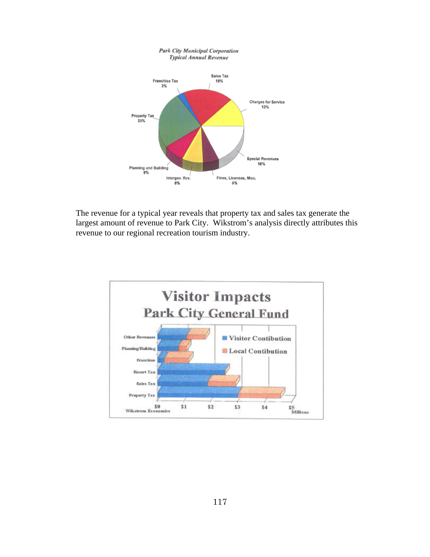

The revenue for a typical year reveals that property tax and sales tax generate the largest amount of revenue to Park City. Wikstrom's analysis directly attributes this revenue to our regional recreation tourism industry.

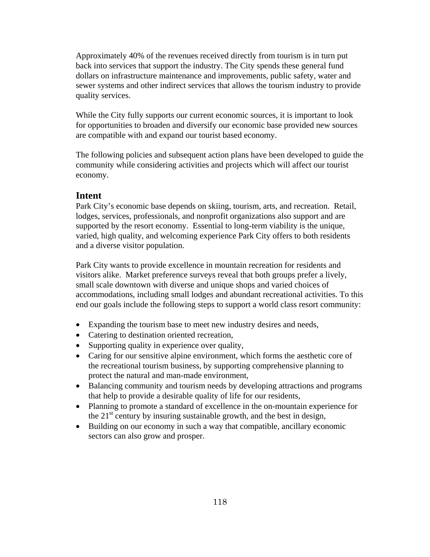Approximately 40% of the revenues received directly from tourism is in turn put back into services that support the industry. The City spends these general fund dollars on infrastructure maintenance and improvements, public safety, water and sewer systems and other indirect services that allows the tourism industry to provide quality services.

While the City fully supports our current economic sources, it is important to look for opportunities to broaden and diversify our economic base provided new sources are compatible with and expand our tourist based economy.

The following policies and subsequent action plans have been developed to guide the community while considering activities and projects which will affect our tourist economy.

#### **Intent**

Park City's economic base depends on skiing, tourism, arts, and recreation. Retail, lodges, services, professionals, and nonprofit organizations also support and are supported by the resort economy. Essential to long-term viability is the unique, varied, high quality, and welcoming experience Park City offers to both residents and a diverse visitor population.

Park City wants to provide excellence in mountain recreation for residents and visitors alike. Market preference surveys reveal that both groups prefer a lively, small scale downtown with diverse and unique shops and varied choices of accommodations, including small lodges and abundant recreational activities. To this end our goals include the following steps to support a world class resort community:

- Expanding the tourism base to meet new industry desires and needs,
- Catering to destination oriented recreation,
- Supporting quality in experience over quality,
- Caring for our sensitive alpine environment, which forms the aesthetic core of the recreational tourism business, by supporting comprehensive planning to protect the natural and man-made environment,
- Balancing community and tourism needs by developing attractions and programs that help to provide a desirable quality of life for our residents,
- Planning to promote a standard of excellence in the on-mountain experience for the  $21<sup>st</sup>$  century by insuring sustainable growth, and the best in design,
- Building on our economy in such a way that compatible, ancillary economic sectors can also grow and prosper.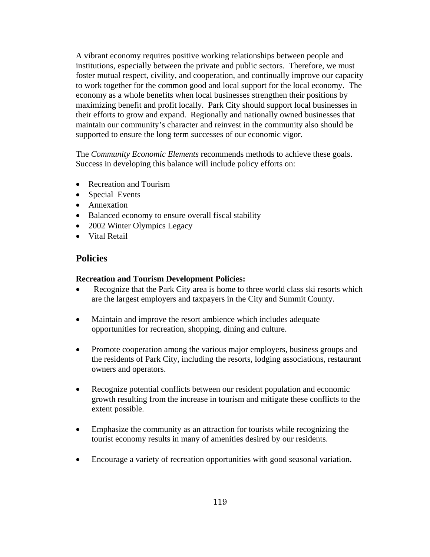A vibrant economy requires positive working relationships between people and institutions, especially between the private and public sectors. Therefore, we must foster mutual respect, civility, and cooperation, and continually improve our capacity to work together for the common good and local support for the local economy. The economy as a whole benefits when local businesses strengthen their positions by maximizing benefit and profit locally. Park City should support local businesses in their efforts to grow and expand. Regionally and nationally owned businesses that maintain our community's character and reinvest in the community also should be supported to ensure the long term successes of our economic vigor.

The *Community Economic Elements* recommends methods to achieve these goals. Success in developing this balance will include policy efforts on:

- Recreation and Tourism
- Special Events
- Annexation
- Balanced economy to ensure overall fiscal stability
- 2002 Winter Olympics Legacy
- Vital Retail

## **Policies**

#### **Recreation and Tourism Development Policies:**

- Recognize that the Park City area is home to three world class ski resorts which are the largest employers and taxpayers in the City and Summit County.
- Maintain and improve the resort ambience which includes adequate opportunities for recreation, shopping, dining and culture.
- Promote cooperation among the various major employers, business groups and the residents of Park City, including the resorts, lodging associations, restaurant owners and operators.
- Recognize potential conflicts between our resident population and economic growth resulting from the increase in tourism and mitigate these conflicts to the extent possible.
- Emphasize the community as an attraction for tourists while recognizing the tourist economy results in many of amenities desired by our residents.
- Encourage a variety of recreation opportunities with good seasonal variation.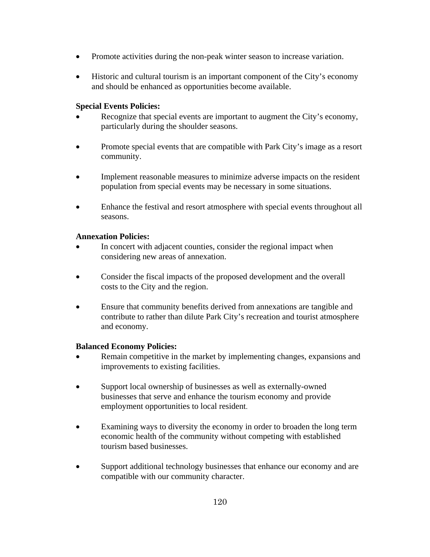- Promote activities during the non-peak winter season to increase variation.
- Historic and cultural tourism is an important component of the City's economy and should be enhanced as opportunities become available.

## **Special Events Policies:**

- Recognize that special events are important to augment the City's economy, particularly during the shoulder seasons.
- Promote special events that are compatible with Park City's image as a resort community.
- Implement reasonable measures to minimize adverse impacts on the resident population from special events may be necessary in some situations.
- Enhance the festival and resort atmosphere with special events throughout all seasons.

## **Annexation Policies:**

- In concert with adjacent counties, consider the regional impact when considering new areas of annexation.
- Consider the fiscal impacts of the proposed development and the overall costs to the City and the region.
- Ensure that community benefits derived from annexations are tangible and contribute to rather than dilute Park City's recreation and tourist atmosphere and economy.

## **Balanced Economy Policies:**

- Remain competitive in the market by implementing changes, expansions and improvements to existing facilities.
- Support local ownership of businesses as well as externally-owned businesses that serve and enhance the tourism economy and provide employment opportunities to local resident.
- Examining ways to diversity the economy in order to broaden the long term economic health of the community without competing with established tourism based businesses.
- Support additional technology businesses that enhance our economy and are compatible with our community character.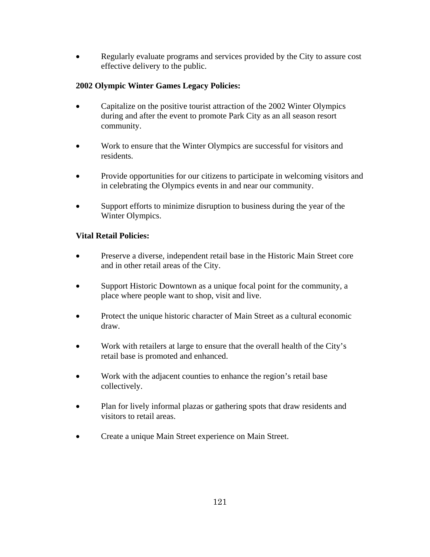• Regularly evaluate programs and services provided by the City to assure cost effective delivery to the public.

## **2002 Olympic Winter Games Legacy Policies:**

- Capitalize on the positive tourist attraction of the 2002 Winter Olympics during and after the event to promote Park City as an all season resort community.
- Work to ensure that the Winter Olympics are successful for visitors and residents.
- Provide opportunities for our citizens to participate in welcoming visitors and in celebrating the Olympics events in and near our community.
- Support efforts to minimize disruption to business during the year of the Winter Olympics.

## **Vital Retail Policies:**

- Preserve a diverse, independent retail base in the Historic Main Street core and in other retail areas of the City.
- Support Historic Downtown as a unique focal point for the community, a place where people want to shop, visit and live.
- Protect the unique historic character of Main Street as a cultural economic draw.
- Work with retailers at large to ensure that the overall health of the City's retail base is promoted and enhanced.
- Work with the adjacent counties to enhance the region's retail base collectively.
- Plan for lively informal plazas or gathering spots that draw residents and visitors to retail areas.
- Create a unique Main Street experience on Main Street.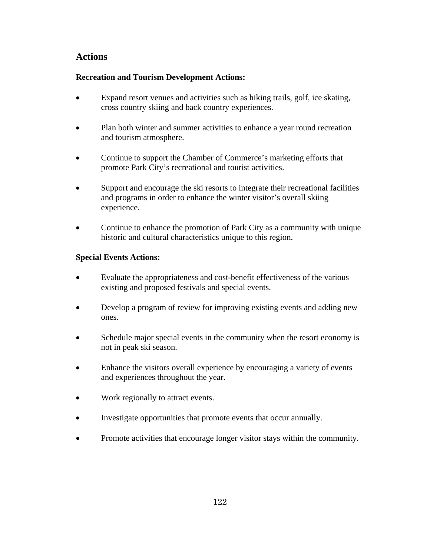## **Actions**

## **Recreation and Tourism Development Actions:**

- Expand resort venues and activities such as hiking trails, golf, ice skating, cross country skiing and back country experiences.
- Plan both winter and summer activities to enhance a year round recreation and tourism atmosphere.
- Continue to support the Chamber of Commerce's marketing efforts that promote Park City's recreational and tourist activities.
- Support and encourage the ski resorts to integrate their recreational facilities and programs in order to enhance the winter visitor's overall skiing experience.
- Continue to enhance the promotion of Park City as a community with unique historic and cultural characteristics unique to this region.

## **Special Events Actions:**

- Evaluate the appropriateness and cost-benefit effectiveness of the various existing and proposed festivals and special events.
- Develop a program of review for improving existing events and adding new ones.
- Schedule major special events in the community when the resort economy is not in peak ski season.
- Enhance the visitors overall experience by encouraging a variety of events and experiences throughout the year.
- Work regionally to attract events.
- Investigate opportunities that promote events that occur annually.
- Promote activities that encourage longer visitor stays within the community.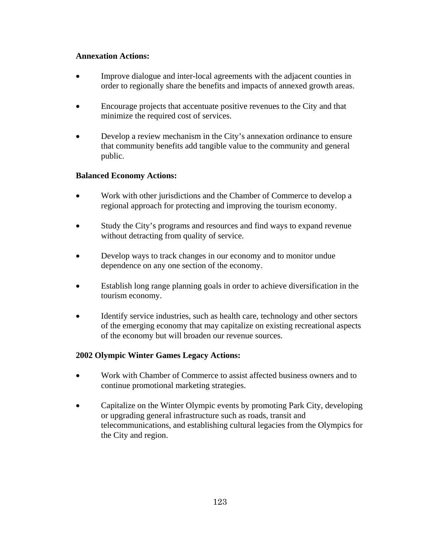## **Annexation Actions:**

- Improve dialogue and inter-local agreements with the adjacent counties in order to regionally share the benefits and impacts of annexed growth areas.
- Encourage projects that accentuate positive revenues to the City and that minimize the required cost of services.
- Develop a review mechanism in the City's annexation ordinance to ensure that community benefits add tangible value to the community and general public.

## **Balanced Economy Actions:**

- Work with other jurisdictions and the Chamber of Commerce to develop a regional approach for protecting and improving the tourism economy.
- Study the City's programs and resources and find ways to expand revenue without detracting from quality of service.
- Develop ways to track changes in our economy and to monitor undue dependence on any one section of the economy.
- Establish long range planning goals in order to achieve diversification in the tourism economy.
- Identify service industries, such as health care, technology and other sectors of the emerging economy that may capitalize on existing recreational aspects of the economy but will broaden our revenue sources.

## **2002 Olympic Winter Games Legacy Actions:**

- Work with Chamber of Commerce to assist affected business owners and to continue promotional marketing strategies.
- Capitalize on the Winter Olympic events by promoting Park City, developing or upgrading general infrastructure such as roads, transit and telecommunications, and establishing cultural legacies from the Olympics for the City and region.